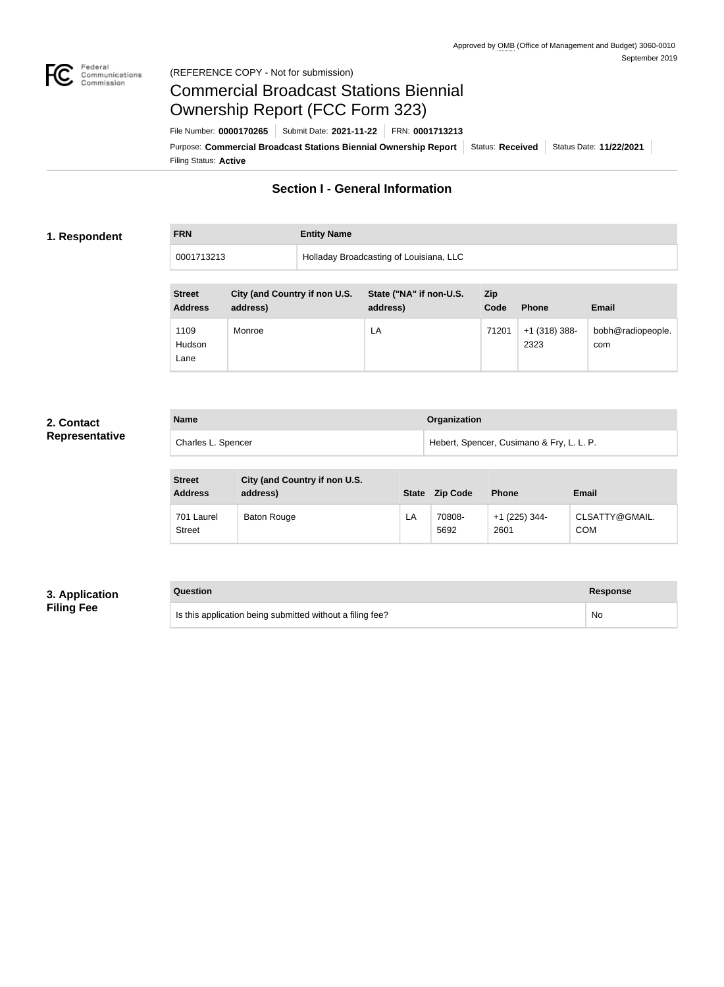

### Federal<br>Communications<br>Commission (REFERENCE COPY - Not for submission)

# Commercial Broadcast Stations Biennial Ownership Report (FCC Form 323)

Filing Status: **Active** Purpose: Commercial Broadcast Stations Biennial Ownership Report Status: Received Status Date: 11/22/2021 File Number: **0000170265** Submit Date: **2021-11-22** FRN: **0001713213**

# **Section I - General Information**

## **1. Respondent**

# **FRN Entity Name**

| 0001713213 | Holladay Broadcasting of Louisiana, LLC |  |  |
|------------|-----------------------------------------|--|--|

| <b>Street</b><br><b>Address</b> | City (and Country if non U.S.<br>address) | State ("NA" if non-U.S.<br>address) | <b>Zip</b><br>Code | <b>Phone</b>            | <b>Email</b>             |
|---------------------------------|-------------------------------------------|-------------------------------------|--------------------|-------------------------|--------------------------|
| 1109<br>Hudson<br>Lane          | Monroe                                    | LA                                  | 71201              | $+1$ (318) 388-<br>2323 | bobh@radiopeople.<br>com |

# **2. Contact Representative**

| <b>Name</b>        | Organization                              |
|--------------------|-------------------------------------------|
| Charles L. Spencer | Hebert, Spencer, Cusimano & Fry, L. L. P. |

| <b>Street</b><br><b>Address</b> | City (and Country if non U.S.<br>address) | <b>State</b> | <b>Zip Code</b> | <b>Phone</b>            | <b>Email</b>                 |
|---------------------------------|-------------------------------------------|--------------|-----------------|-------------------------|------------------------------|
| 701 Laurel<br><b>Street</b>     | Baton Rouge                               | LA           | 70808-<br>5692  | $+1$ (225) 344-<br>2601 | CLSATTY@GMAIL.<br><b>COM</b> |

# **3. Application Filing Fee**

# **Question Response**

Is this application being submitted without a filing fee? No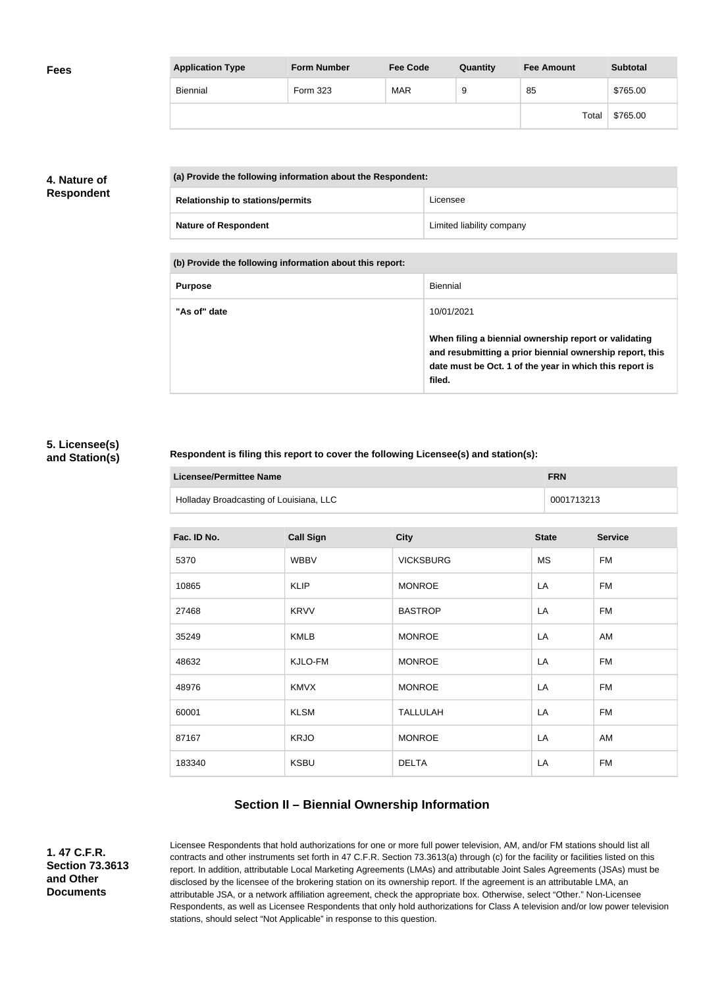| <b>Fees</b> | <b>Application Type</b> | <b>Form Number</b> | <b>Fee Code</b> | Quantity | <b>Fee Amount</b> | <b>Subtotal</b> |
|-------------|-------------------------|--------------------|-----------------|----------|-------------------|-----------------|
|             | Biennial                | Form 323           | <b>MAR</b>      | 9        | 85                | \$765.00        |
|             |                         |                    |                 |          | Total             | \$765.00        |

# **4. Nature of Respondent**

| (a) Provide the following information about the Respondent: |                           |  |
|-------------------------------------------------------------|---------------------------|--|
| <b>Relationship to stations/permits</b>                     | Licensee                  |  |
| <b>Nature of Respondent</b>                                 | Limited liability company |  |

**(b) Provide the following information about this report:**

| <b>Purpose</b> | Biennial                                                                                                                                                                               |
|----------------|----------------------------------------------------------------------------------------------------------------------------------------------------------------------------------------|
| "As of" date   | 10/01/2021                                                                                                                                                                             |
|                | When filing a biennial ownership report or validating<br>and resubmitting a prior biennial ownership report, this<br>date must be Oct. 1 of the year in which this report is<br>filed. |

### **5. Licensee(s) and Station(s)**

#### **Respondent is filing this report to cover the following Licensee(s) and station(s):**

| Licensee/Permittee Name                 | <b>FRN</b> |
|-----------------------------------------|------------|
| Holladay Broadcasting of Louisiana, LLC | 0001713213 |

| Fac. ID No. | <b>Call Sign</b> | <b>City</b>      | <b>State</b> | <b>Service</b> |
|-------------|------------------|------------------|--------------|----------------|
| 5370        | <b>WBBV</b>      | <b>VICKSBURG</b> | <b>MS</b>    | FM             |
| 10865       | <b>KLIP</b>      | <b>MONROE</b>    | LA           | <b>FM</b>      |
| 27468       | <b>KRVV</b>      | <b>BASTROP</b>   | LA           | <b>FM</b>      |
| 35249       | <b>KMLB</b>      | <b>MONROE</b>    | LA           | AM             |
| 48632       | KJLO-FM          | <b>MONROE</b>    | LA           | <b>FM</b>      |
| 48976       | <b>KMVX</b>      | <b>MONROE</b>    | LA           | <b>FM</b>      |
| 60001       | <b>KLSM</b>      | <b>TALLULAH</b>  | LA           | <b>FM</b>      |
| 87167       | <b>KRJO</b>      | <b>MONROE</b>    | LA           | AM             |
| 183340      | <b>KSBU</b>      | <b>DELTA</b>     | LA           | <b>FM</b>      |

# **Section II – Biennial Ownership Information**

**1. 47 C.F.R. Section 73.3613 and Other Documents**

Licensee Respondents that hold authorizations for one or more full power television, AM, and/or FM stations should list all contracts and other instruments set forth in 47 C.F.R. Section 73.3613(a) through (c) for the facility or facilities listed on this report. In addition, attributable Local Marketing Agreements (LMAs) and attributable Joint Sales Agreements (JSAs) must be disclosed by the licensee of the brokering station on its ownership report. If the agreement is an attributable LMA, an attributable JSA, or a network affiliation agreement, check the appropriate box. Otherwise, select "Other." Non-Licensee Respondents, as well as Licensee Respondents that only hold authorizations for Class A television and/or low power television stations, should select "Not Applicable" in response to this question.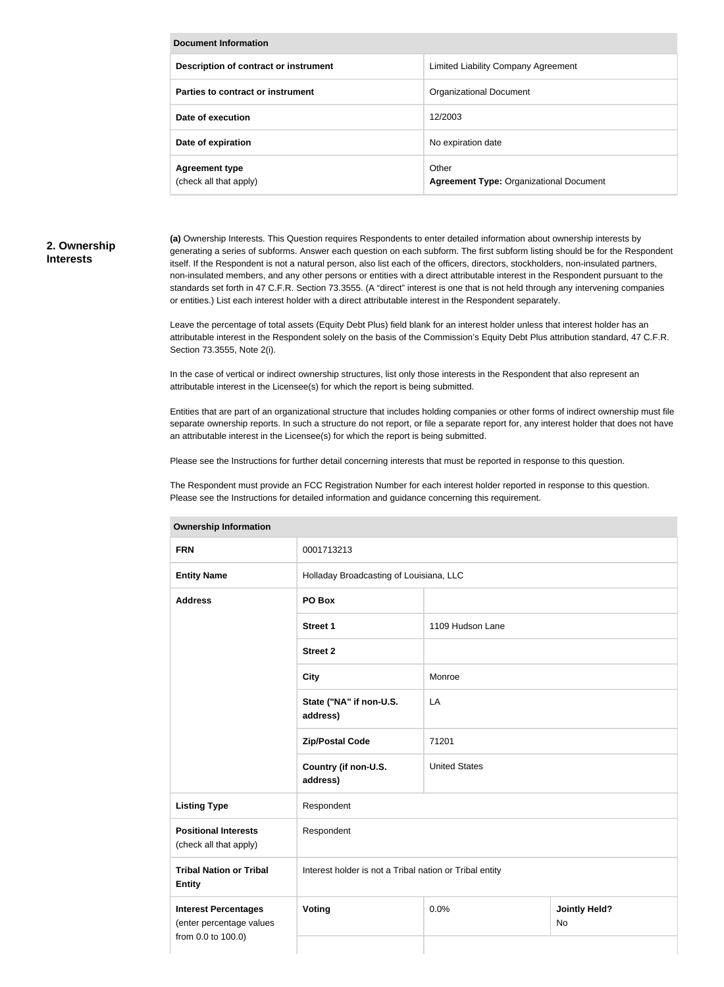| <b>Document Information</b>                     |                                                         |  |  |
|-------------------------------------------------|---------------------------------------------------------|--|--|
| Description of contract or instrument           | Limited Liability Company Agreement                     |  |  |
| Parties to contract or instrument               | <b>Organizational Document</b>                          |  |  |
| Date of execution                               | 12/2003                                                 |  |  |
| Date of expiration                              | No expiration date                                      |  |  |
| <b>Agreement type</b><br>(check all that apply) | Other<br><b>Agreement Type: Organizational Document</b> |  |  |

# **2. Ownership Interests**

**(a)** Ownership Interests. This Question requires Respondents to enter detailed information about ownership interests by generating a series of subforms. Answer each question on each subform. The first subform listing should be for the Respondent itself. If the Respondent is not a natural person, also list each of the officers, directors, stockholders, non-insulated partners, non-insulated members, and any other persons or entities with a direct attributable interest in the Respondent pursuant to the standards set forth in 47 C.F.R. Section 73.3555. (A "direct" interest is one that is not held through any intervening companies or entities.) List each interest holder with a direct attributable interest in the Respondent separately.

Leave the percentage of total assets (Equity Debt Plus) field blank for an interest holder unless that interest holder has an attributable interest in the Respondent solely on the basis of the Commission's Equity Debt Plus attribution standard, 47 C.F.R. Section 73.3555, Note 2(i).

In the case of vertical or indirect ownership structures, list only those interests in the Respondent that also represent an attributable interest in the Licensee(s) for which the report is being submitted.

Entities that are part of an organizational structure that includes holding companies or other forms of indirect ownership must file separate ownership reports. In such a structure do not report, or file a separate report for, any interest holder that does not have an attributable interest in the Licensee(s) for which the report is being submitted.

Please see the Instructions for further detail concerning interests that must be reported in response to this question.

The Respondent must provide an FCC Registration Number for each interest holder reported in response to this question. Please see the Instructions for detailed information and guidance concerning this requirement.

| <b>FRN</b>                                                                                      | 0001713213                                              |                            |  |  |
|-------------------------------------------------------------------------------------------------|---------------------------------------------------------|----------------------------|--|--|
| <b>Entity Name</b>                                                                              | Holladay Broadcasting of Louisiana, LLC                 |                            |  |  |
| <b>Address</b>                                                                                  | PO Box                                                  |                            |  |  |
|                                                                                                 | <b>Street 1</b>                                         | 1109 Hudson Lane           |  |  |
|                                                                                                 | <b>Street 2</b>                                         |                            |  |  |
|                                                                                                 | <b>City</b>                                             | Monroe                     |  |  |
|                                                                                                 | State ("NA" if non-U.S.<br>address)                     | LA                         |  |  |
|                                                                                                 | <b>Zip/Postal Code</b>                                  | 71201                      |  |  |
|                                                                                                 | Country (if non-U.S.<br>address)                        | <b>United States</b>       |  |  |
| <b>Listing Type</b>                                                                             | Respondent                                              |                            |  |  |
| <b>Positional Interests</b><br>(check all that apply)                                           | Respondent                                              |                            |  |  |
| <b>Tribal Nation or Tribal</b><br><b>Entity</b>                                                 | Interest holder is not a Tribal nation or Tribal entity |                            |  |  |
| 0.0%<br>Voting<br><b>Interest Percentages</b><br>(enter percentage values<br>from 0.0 to 100.0) |                                                         | <b>Jointly Held?</b><br>No |  |  |
|                                                                                                 |                                                         |                            |  |  |

#### **Ownership Information**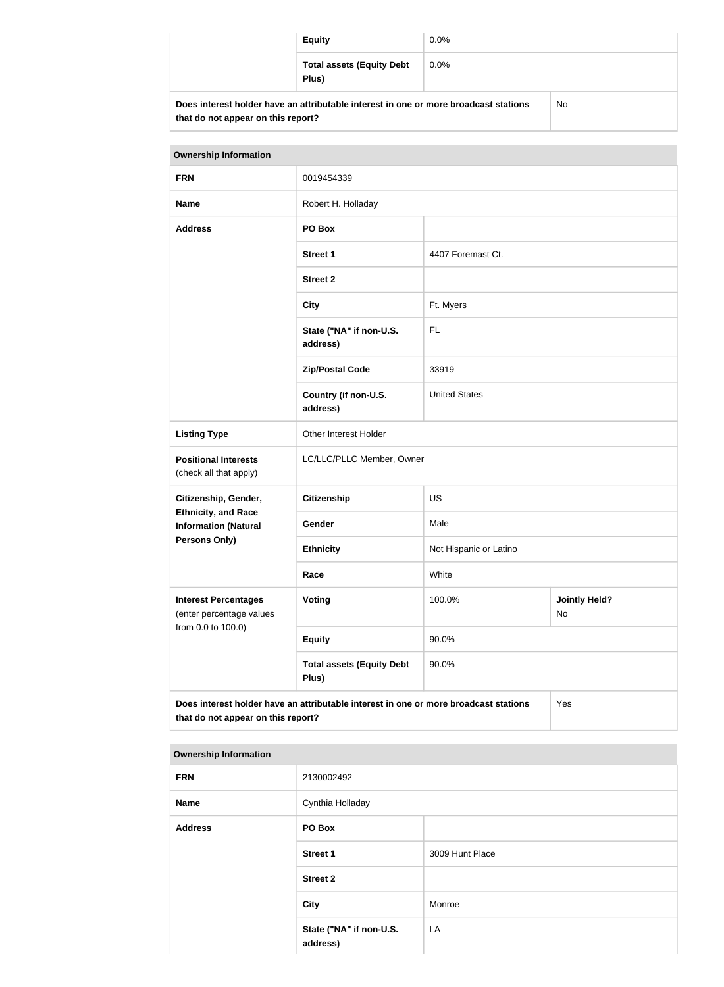|                                                                                                                            | <b>Equity</b>                             | $0.0\%$ |     |
|----------------------------------------------------------------------------------------------------------------------------|-------------------------------------------|---------|-----|
|                                                                                                                            | <b>Total assets (Equity Debt</b><br>Plus) | $0.0\%$ |     |
| Does interest holder have an attributable interest in one or more broadcast stations<br>that do not appear on this report? |                                           |         | No. |

| <b>Ownership Information</b>                                                                                                      |                                           |                        |                            |
|-----------------------------------------------------------------------------------------------------------------------------------|-------------------------------------------|------------------------|----------------------------|
| <b>FRN</b>                                                                                                                        | 0019454339                                |                        |                            |
| <b>Name</b>                                                                                                                       | Robert H. Holladay                        |                        |                            |
| <b>Address</b>                                                                                                                    | PO Box                                    |                        |                            |
|                                                                                                                                   | <b>Street 1</b>                           | 4407 Foremast Ct.      |                            |
|                                                                                                                                   | <b>Street 2</b>                           |                        |                            |
|                                                                                                                                   | <b>City</b>                               | Ft. Myers              |                            |
|                                                                                                                                   | State ("NA" if non-U.S.<br>address)       | <b>FL</b>              |                            |
|                                                                                                                                   | <b>Zip/Postal Code</b>                    | 33919                  |                            |
|                                                                                                                                   | Country (if non-U.S.<br>address)          | <b>United States</b>   |                            |
| <b>Listing Type</b>                                                                                                               | Other Interest Holder                     |                        |                            |
| <b>Positional Interests</b><br>(check all that apply)                                                                             | LC/LLC/PLLC Member, Owner                 |                        |                            |
| Citizenship, Gender,                                                                                                              | <b>Citizenship</b>                        | <b>US</b>              |                            |
| <b>Ethnicity, and Race</b><br><b>Information (Natural</b>                                                                         | Gender                                    | Male                   |                            |
| <b>Persons Only)</b>                                                                                                              | <b>Ethnicity</b>                          | Not Hispanic or Latino |                            |
|                                                                                                                                   | Race                                      | White                  |                            |
| <b>Interest Percentages</b><br>(enter percentage values<br>from 0.0 to 100.0)                                                     | <b>Voting</b>                             | 100.0%                 | <b>Jointly Held?</b><br>No |
|                                                                                                                                   | <b>Equity</b>                             | 90.0%                  |                            |
|                                                                                                                                   | <b>Total assets (Equity Debt</b><br>Plus) | 90.0%                  |                            |
| Does interest holder have an attributable interest in one or more broadcast stations<br>Yes<br>that do not appear on this report? |                                           |                        |                            |

#### **Ownership Information**

| . .            |                                     |                 |
|----------------|-------------------------------------|-----------------|
| <b>FRN</b>     | 2130002492                          |                 |
| Name           | Cynthia Holladay                    |                 |
| <b>Address</b> | PO Box                              |                 |
|                | <b>Street 1</b>                     | 3009 Hunt Place |
|                | <b>Street 2</b>                     |                 |
|                | <b>City</b>                         | Monroe          |
|                | State ("NA" if non-U.S.<br>address) | LA              |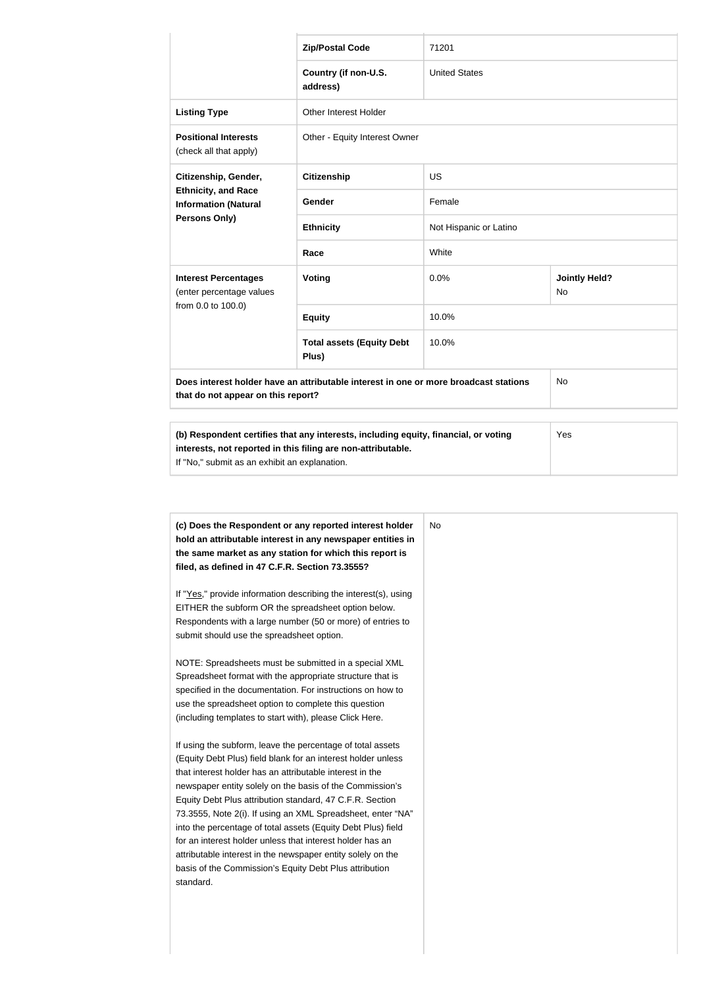|                                                                                                                            | <b>Zip/Postal Code</b>                                                           | 71201                  |                                   |
|----------------------------------------------------------------------------------------------------------------------------|----------------------------------------------------------------------------------|------------------------|-----------------------------------|
|                                                                                                                            | Country (if non-U.S.<br>address)                                                 | <b>United States</b>   |                                   |
| <b>Listing Type</b>                                                                                                        | Other Interest Holder                                                            |                        |                                   |
| <b>Positional Interests</b><br>(check all that apply)                                                                      | Other - Equity Interest Owner                                                    |                        |                                   |
| Citizenship, Gender,<br><b>Ethnicity, and Race</b><br><b>Information (Natural</b><br>Persons Only)                         | <b>Citizenship</b>                                                               | <b>US</b>              |                                   |
|                                                                                                                            | Gender                                                                           | Female                 |                                   |
|                                                                                                                            | <b>Ethnicity</b>                                                                 | Not Hispanic or Latino |                                   |
|                                                                                                                            | Race                                                                             | White                  |                                   |
| <b>Interest Percentages</b><br>(enter percentage values<br>from 0.0 to 100.0)                                              | Voting                                                                           | 0.0%                   | <b>Jointly Held?</b><br><b>No</b> |
|                                                                                                                            | <b>Equity</b>                                                                    | 10.0%                  |                                   |
|                                                                                                                            | <b>Total assets (Equity Debt</b><br>Plus)                                        | 10.0%                  |                                   |
| Does interest holder have an attributable interest in one or more broadcast stations<br>that do not appear on this report? |                                                                                  | <b>No</b>              |                                   |
|                                                                                                                            | (b) Pecpendent cortifies that any interacts including equity financial or vating |                        | $V_{\Omega}$                      |

| (b) Respondent certifies that any interests, including equity, financial, or voting | Yes |
|-------------------------------------------------------------------------------------|-----|
| interests, not reported in this filing are non-attributable.                        |     |
| If "No," submit as an exhibit an explanation.                                       |     |
|                                                                                     |     |

| (c) Does the Respondent or any reported interest holder<br>hold an attributable interest in any newspaper entities in | No |
|-----------------------------------------------------------------------------------------------------------------------|----|
| the same market as any station for which this report is                                                               |    |
| filed, as defined in 47 C.F.R. Section 73.3555?                                                                       |    |
| If "Yes," provide information describing the interest(s), using                                                       |    |
| EITHER the subform OR the spreadsheet option below.                                                                   |    |
| Respondents with a large number (50 or more) of entries to                                                            |    |
| submit should use the spreadsheet option.                                                                             |    |
| NOTE: Spreadsheets must be submitted in a special XML                                                                 |    |
| Spreadsheet format with the appropriate structure that is                                                             |    |
| specified in the documentation. For instructions on how to                                                            |    |
| use the spreadsheet option to complete this question                                                                  |    |
| (including templates to start with), please Click Here.                                                               |    |
| If using the subform, leave the percentage of total assets                                                            |    |
| (Equity Debt Plus) field blank for an interest holder unless                                                          |    |
| that interest holder has an attributable interest in the                                                              |    |
| newspaper entity solely on the basis of the Commission's                                                              |    |
| Equity Debt Plus attribution standard, 47 C.F.R. Section                                                              |    |
| 73.3555, Note 2(i). If using an XML Spreadsheet, enter "NA"                                                           |    |
| into the percentage of total assets (Equity Debt Plus) field                                                          |    |
| for an interest holder unless that interest holder has an                                                             |    |
| attributable interest in the newspaper entity solely on the                                                           |    |
| basis of the Commission's Equity Debt Plus attribution                                                                |    |
| standard.                                                                                                             |    |
|                                                                                                                       |    |
|                                                                                                                       |    |
|                                                                                                                       |    |
|                                                                                                                       |    |
|                                                                                                                       |    |